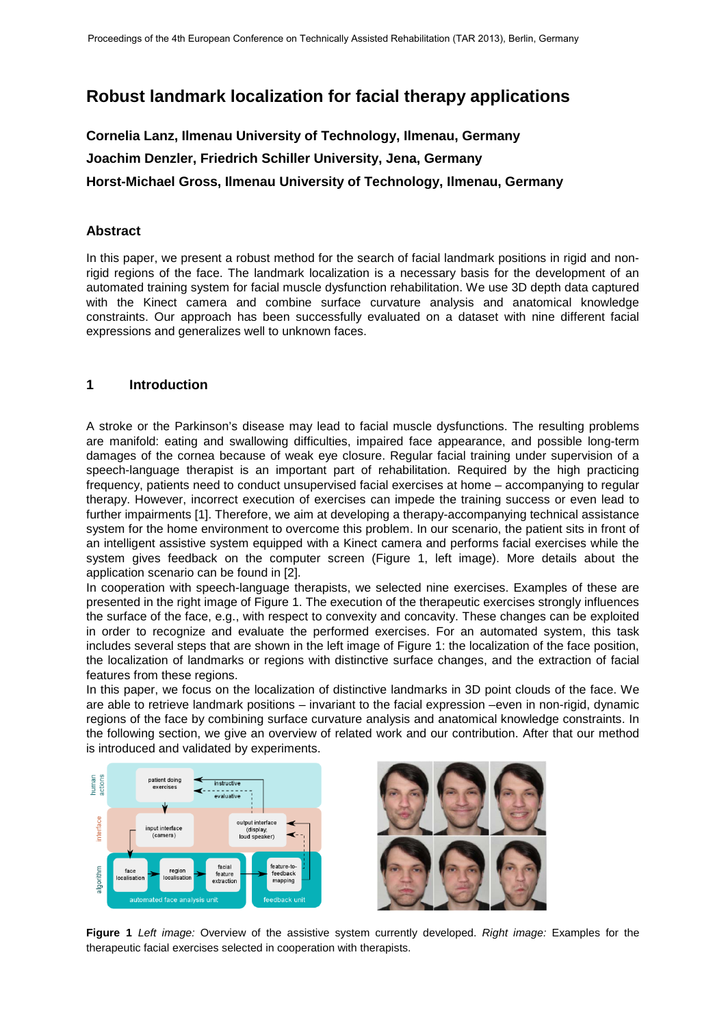# **Robust landmark localization for facial therapy applications**

# **Cornelia Lanz, Ilmenau University of Technology, Ilmenau, Germany Joachim Denzler, Friedrich Schiller University, Jena, Germany Horst-Michael Gross, Ilmenau University of Technology, Ilmenau, Germany**

#### **Abstract**

In this paper, we present a robust method for the search of facial landmark positions in rigid and nonrigid regions of the face. The landmark localization is a necessary basis for the development of an automated training system for facial muscle dysfunction rehabilitation. We use 3D depth data captured with the Kinect camera and combine surface curvature analysis and anatomical knowledge constraints. Our approach has been successfully evaluated on a dataset with nine different facial expressions and generalizes well to unknown faces.

#### **1 Introduction**

A stroke or the Parkinson's disease may lead to facial muscle dysfunctions. The resulting problems are manifold: eating and swallowing difficulties, impaired face appearance, and possible long-term damages of the cornea because of weak eye closure. Regular facial training under supervision of a speech-language therapist is an important part of rehabilitation. Required by the high practicing frequency, patients need to conduct unsupervised facial exercises at home – accompanying to regular therapy. However, incorrect execution of exercises can impede the training success or even lead to further impairments [1]. Therefore, we aim at developing a therapy-accompanying technical assistance system for the home environment to overcome this problem. In our scenario, the patient sits in front of an intelligent assistive system equipped with a Kinect camera and performs facial exercises while the system gives feedback on the computer screen (Figure 1, left image). More details about the application scenario can be found in [2].

In cooperation with speech-language therapists, we selected nine exercises. Examples of these are presented in the right image of Figure 1. The execution of the therapeutic exercises strongly influences the surface of the face, e.g., with respect to convexity and concavity. These changes can be exploited in order to recognize and evaluate the performed exercises. For an automated system, this task includes several steps that are shown in the left image of Figure 1: the localization of the face position, the localization of landmarks or regions with distinctive surface changes, and the extraction of facial features from these regions.

In this paper, we focus on the localization of distinctive landmarks in 3D point clouds of the face. We are able to retrieve landmark positions – invariant to the facial expression –even in non-rigid, dynamic regions of the face by combining surface curvature analysis and anatomical knowledge constraints. In the following section, we give an overview of related work and our contribution. After that our method is introduced and validated by experiments.





**Figure 1** *Left image:* Overview of the assistive system currently developed. *Right image:* Examples for the therapeutic facial exercises selected in cooperation with therapists.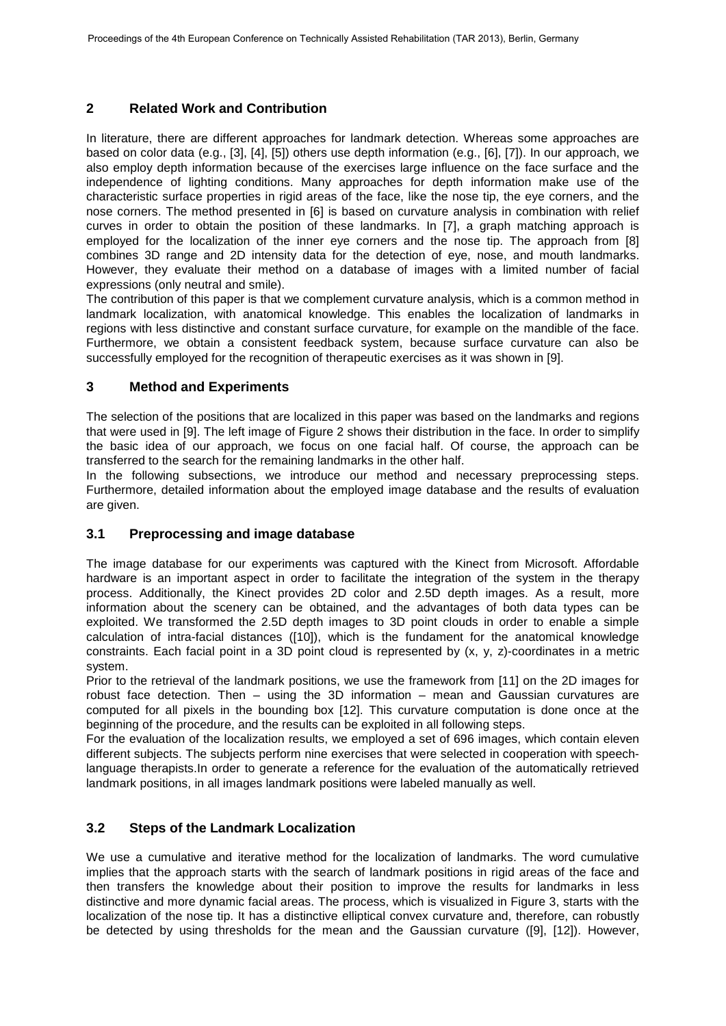# **2 Related Work and Contribution**

In literature, there are different approaches for landmark detection. Whereas some approaches are based on color data (e.g., [3], [4], [5]) others use depth information (e.g., [6], [7]). In our approach, we also employ depth information because of the exercises large influence on the face surface and the independence of lighting conditions. Many approaches for depth information make use of the characteristic surface properties in rigid areas of the face, like the nose tip, the eye corners, and the nose corners. The method presented in [6] is based on curvature analysis in combination with relief curves in order to obtain the position of these landmarks. In [7], a graph matching approach is employed for the localization of the inner eye corners and the nose tip. The approach from [8] combines 3D range and 2D intensity data for the detection of eye, nose, and mouth landmarks. However, they evaluate their method on a database of images with a limited number of facial expressions (only neutral and smile).

The contribution of this paper is that we complement curvature analysis, which is a common method in landmark localization, with anatomical knowledge. This enables the localization of landmarks in regions with less distinctive and constant surface curvature, for example on the mandible of the face. Furthermore, we obtain a consistent feedback system, because surface curvature can also be successfully employed for the recognition of therapeutic exercises as it was shown in [9].

## **3 Method and Experiments**

The selection of the positions that are localized in this paper was based on the landmarks and regions that were used in [9]. The left image of Figure 2 shows their distribution in the face. In order to simplify the basic idea of our approach, we focus on one facial half. Of course, the approach can be transferred to the search for the remaining landmarks in the other half.

In the following subsections, we introduce our method and necessary preprocessing steps. Furthermore, detailed information about the employed image database and the results of evaluation are given.

## **3.1 Preprocessing and image database**

The image database for our experiments was captured with the Kinect from Microsoft. Affordable hardware is an important aspect in order to facilitate the integration of the system in the therapy process. Additionally, the Kinect provides 2D color and 2.5D depth images. As a result, more information about the scenery can be obtained, and the advantages of both data types can be exploited. We transformed the 2.5D depth images to 3D point clouds in order to enable a simple calculation of intra-facial distances ([10]), which is the fundament for the anatomical knowledge constraints. Each facial point in a 3D point cloud is represented by (x, y, z)-coordinates in a metric system.

Prior to the retrieval of the landmark positions, we use the framework from [11] on the 2D images for robust face detection. Then – using the 3D information – mean and Gaussian curvatures are computed for all pixels in the bounding box [12]. This curvature computation is done once at the beginning of the procedure, and the results can be exploited in all following steps.

For the evaluation of the localization results, we employed a set of 696 images, which contain eleven different subjects. The subjects perform nine exercises that were selected in cooperation with speechlanguage therapists.In order to generate a reference for the evaluation of the automatically retrieved landmark positions, in all images landmark positions were labeled manually as well.

## **3.2 Steps of the Landmark Localization**

We use a cumulative and iterative method for the localization of landmarks. The word cumulative implies that the approach starts with the search of landmark positions in rigid areas of the face and then transfers the knowledge about their position to improve the results for landmarks in less distinctive and more dynamic facial areas. The process, which is visualized in Figure 3, starts with the localization of the nose tip. It has a distinctive elliptical convex curvature and, therefore, can robustly be detected by using thresholds for the mean and the Gaussian curvature ([9], [12]). However,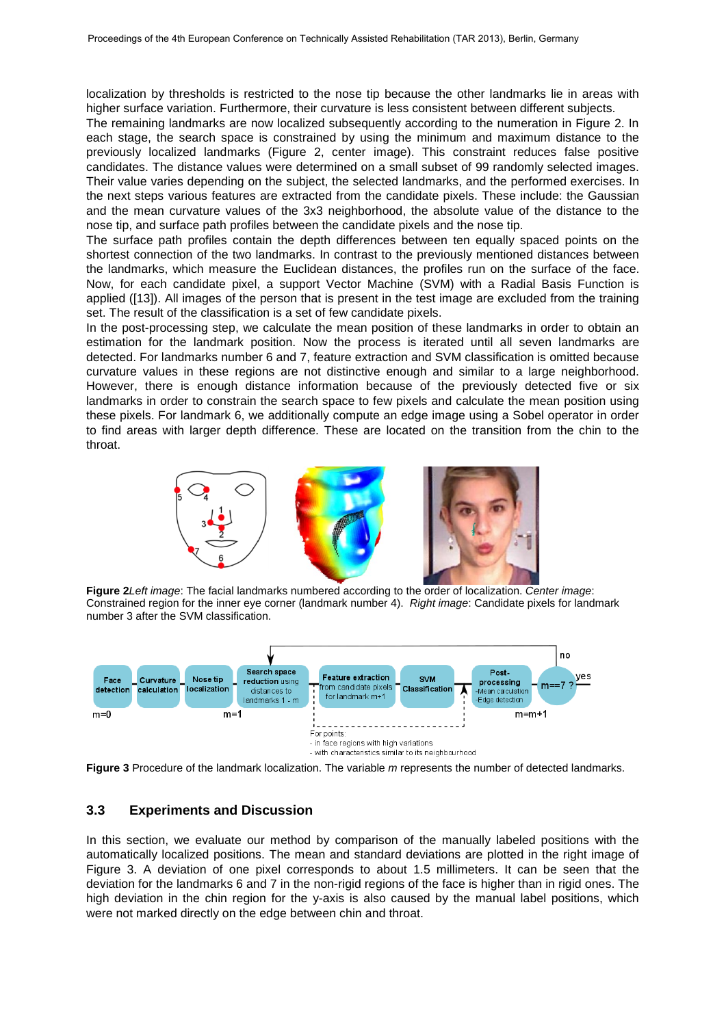localization by thresholds is restricted to the nose tip because the other landmarks lie in areas with higher surface variation. Furthermore, their curvature is less consistent between different subjects.

The remaining landmarks are now localized subsequently according to the numeration in Figure 2. In each stage, the search space is constrained by using the minimum and maximum distance to the previously localized landmarks (Figure 2, center image). This constraint reduces false positive candidates. The distance values were determined on a small subset of 99 randomly selected images. Their value varies depending on the subject, the selected landmarks, and the performed exercises. In the next steps various features are extracted from the candidate pixels. These include: the Gaussian and the mean curvature values of the 3x3 neighborhood, the absolute value of the distance to the nose tip, and surface path profiles between the candidate pixels and the nose tip.

The surface path profiles contain the depth differences between ten equally spaced points on the shortest connection of the two landmarks. In contrast to the previously mentioned distances between the landmarks, which measure the Euclidean distances, the profiles run on the surface of the face. Now, for each candidate pixel, a support Vector Machine (SVM) with a Radial Basis Function is applied ([13]). All images of the person that is present in the test image are excluded from the training set. The result of the classification is a set of few candidate pixels.

In the post-processing step, we calculate the mean position of these landmarks in order to obtain an estimation for the landmark position. Now the process is iterated until all seven landmarks are detected. For landmarks number 6 and 7, feature extraction and SVM classification is omitted because curvature values in these regions are not distinctive enough and similar to a large neighborhood. However, there is enough distance information because of the previously detected five or six landmarks in order to constrain the search space to few pixels and calculate the mean position using these pixels. For landmark 6, we additionally compute an edge image using a Sobel operator in order to find areas with larger depth difference. These are located on the transition from the chin to the throat.



**Figure 2***Left image*: The facial landmarks numbered according to the order of localization. *Center image*: Constrained region for the inner eye corner (landmark number 4). *Right image*: Candidate pixels for landmark number 3 after the SVM classification.



**Figure 3** Procedure of the landmark localization. The variable *m* represents the number of detected landmarks.

#### **3.3 Experiments and Discussion**

In this section, we evaluate our method by comparison of the manually labeled positions with the automatically localized positions. The mean and standard deviations are plotted in the right image of Figure 3. A deviation of one pixel corresponds to about 1.5 millimeters. It can be seen that the deviation for the landmarks 6 and 7 in the non-rigid regions of the face is higher than in rigid ones. The high deviation in the chin region for the y-axis is also caused by the manual label positions, which were not marked directly on the edge between chin and throat.